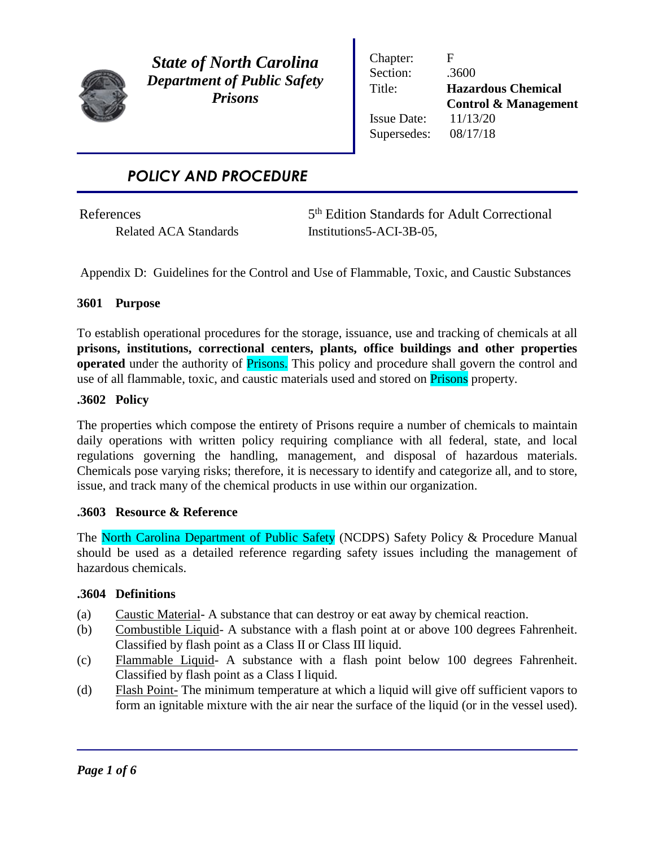

*State of North Carolina Department of Public Safety Prisons*

Chapter: F Section: .3600 Issue Date: 11/13/20 Supersedes: 08/17/18

Title: **Hazardous Chemical Control & Management**

# *POLICY AND PROCEDURE*

**References** 

5<sup>th</sup> Edition Standards for Adult Correctional Related ACA Standards Institutions 5-ACI-3B-05,

Appendix D: Guidelines for the Control and Use of Flammable, Toxic, and Caustic Substances

## **3601 Purpose**

To establish operational procedures for the storage, issuance, use and tracking of chemicals at all **prisons, institutions, correctional centers, plants, office buildings and other properties operated** under the authority of **Prisons.** This policy and procedure shall govern the control and use of all flammable, toxic, and caustic materials used and stored on **Prisons** property.

## **.3602 Policy**

The properties which compose the entirety of Prisons require a number of chemicals to maintain daily operations with written policy requiring compliance with all federal, state, and local regulations governing the handling, management, and disposal of hazardous materials. Chemicals pose varying risks; therefore, it is necessary to identify and categorize all, and to store, issue, and track many of the chemical products in use within our organization.

## **.3603 Resource & Reference**

The North Carolina Department of Public Safety (NCDPS) Safety Policy & Procedure Manual should be used as a detailed reference regarding safety issues including the management of hazardous chemicals.

## **.3604 Definitions**

- (a) Caustic Material- A substance that can destroy or eat away by chemical reaction.
- (b) Combustible Liquid- A substance with a flash point at or above 100 degrees Fahrenheit. Classified by flash point as a Class II or Class III liquid.
- (c) Flammable Liquid- A substance with a flash point below 100 degrees Fahrenheit. Classified by flash point as a Class I liquid.
- (d) Flash Point- The minimum temperature at which a liquid will give off sufficient vapors to form an ignitable mixture with the air near the surface of the liquid (or in the vessel used).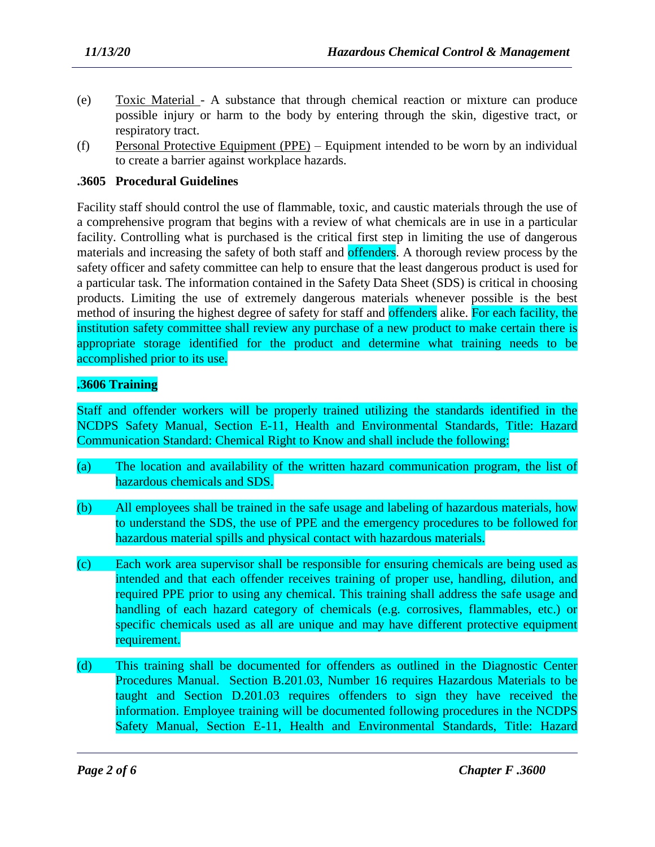- (e) Toxic Material A substance that through chemical reaction or mixture can produce possible injury or harm to the body by entering through the skin, digestive tract, or respiratory tract.
- (f) Personal Protective Equipment (PPE) Equipment intended to be worn by an individual to create a barrier against workplace hazards.

### **.3605 Procedural Guidelines**

Facility staff should control the use of flammable, toxic, and caustic materials through the use of a comprehensive program that begins with a review of what chemicals are in use in a particular facility. Controlling what is purchased is the critical first step in limiting the use of dangerous materials and increasing the safety of both staff and offenders. A thorough review process by the safety officer and safety committee can help to ensure that the least dangerous product is used for a particular task. The information contained in the Safety Data Sheet (SDS) is critical in choosing products. Limiting the use of extremely dangerous materials whenever possible is the best method of insuring the highest degree of safety for staff and offenders alike. For each facility, the institution safety committee shall review any purchase of a new product to make certain there is appropriate storage identified for the product and determine what training needs to be accomplished prior to its use.

### **.3606 Training**

Staff and offender workers will be properly trained utilizing the standards identified in the NCDPS Safety Manual, Section E-11, Health and Environmental Standards, Title: Hazard Communication Standard: Chemical Right to Know and shall include the following:

- (a) The location and availability of the written hazard communication program, the list of hazardous chemicals and SDS.
- (b) All employees shall be trained in the safe usage and labeling of hazardous materials, how to understand the SDS, the use of PPE and the emergency procedures to be followed for hazardous material spills and physical contact with hazardous materials.
- (c) Each work area supervisor shall be responsible for ensuring chemicals are being used as intended and that each offender receives training of proper use, handling, dilution, and required PPE prior to using any chemical. This training shall address the safe usage and handling of each hazard category of chemicals (e.g. corrosives, flammables, etc.) or specific chemicals used as all are unique and may have different protective equipment requirement.
- (d) This training shall be documented for offenders as outlined in the Diagnostic Center Procedures Manual. Section B.201.03, Number 16 requires Hazardous Materials to be taught and Section D.201.03 requires offenders to sign they have received the information. Employee training will be documented following procedures in the NCDPS Safety Manual, Section E-11, Health and Environmental Standards, Title: Hazard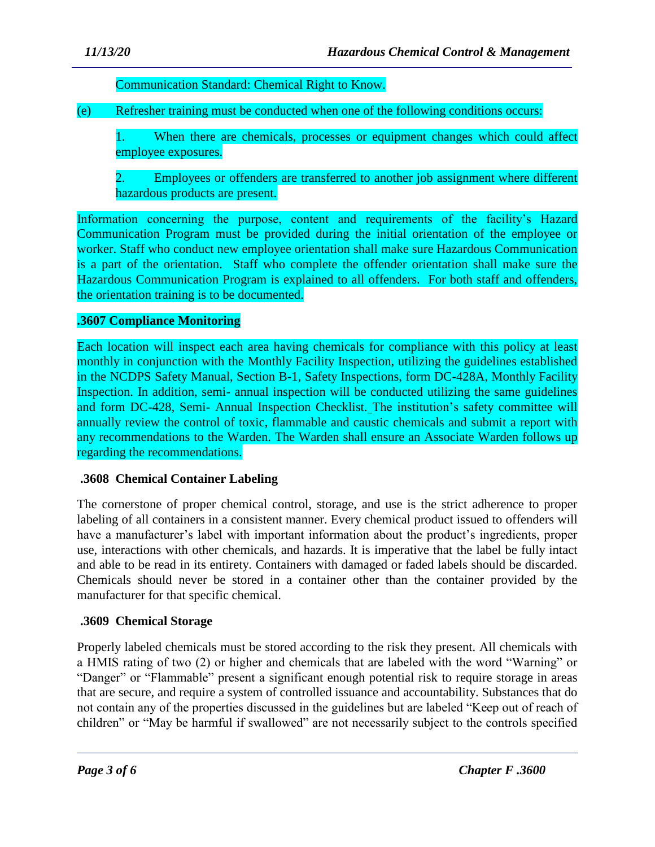Communication Standard: Chemical Right to Know.

(e) Refresher training must be conducted when one of the following conditions occurs:

1. When there are chemicals, processes or equipment changes which could affect employee exposures.

2. Employees or offenders are transferred to another job assignment where different hazardous products are present.

Information concerning the purpose, content and requirements of the facility's Hazard Communication Program must be provided during the initial orientation of the employee or worker. Staff who conduct new employee orientation shall make sure Hazardous Communication is a part of the orientation. Staff who complete the offender orientation shall make sure the Hazardous Communication Program is explained to all offenders. For both staff and offenders, the orientation training is to be documented.

# **.3607 Compliance Monitoring**

Each location will inspect each area having chemicals for compliance with this policy at least monthly in conjunction with the Monthly Facility Inspection, utilizing the guidelines established in the NCDPS Safety Manual, Section B-1, Safety Inspections, form DC-428A, Monthly Facility Inspection. In addition, semi- annual inspection will be conducted utilizing the same guidelines and form DC-428, Semi- Annual Inspection Checklist. The institution's safety committee will annually review the control of toxic, flammable and caustic chemicals and submit a report with any recommendations to the Warden. The Warden shall ensure an Associate Warden follows up regarding the recommendations.

## **.3608 Chemical Container Labeling**

The cornerstone of proper chemical control, storage, and use is the strict adherence to proper labeling of all containers in a consistent manner. Every chemical product issued to offenders will have a manufacturer's label with important information about the product's ingredients, proper use, interactions with other chemicals, and hazards. It is imperative that the label be fully intact and able to be read in its entirety. Containers with damaged or faded labels should be discarded. Chemicals should never be stored in a container other than the container provided by the manufacturer for that specific chemical.

# **.3609 Chemical Storage**

Properly labeled chemicals must be stored according to the risk they present. All chemicals with a HMIS rating of two (2) or higher and chemicals that are labeled with the word "Warning" or "Danger" or "Flammable" present a significant enough potential risk to require storage in areas that are secure, and require a system of controlled issuance and accountability. Substances that do not contain any of the properties discussed in the guidelines but are labeled "Keep out of reach of children" or "May be harmful if swallowed" are not necessarily subject to the controls specified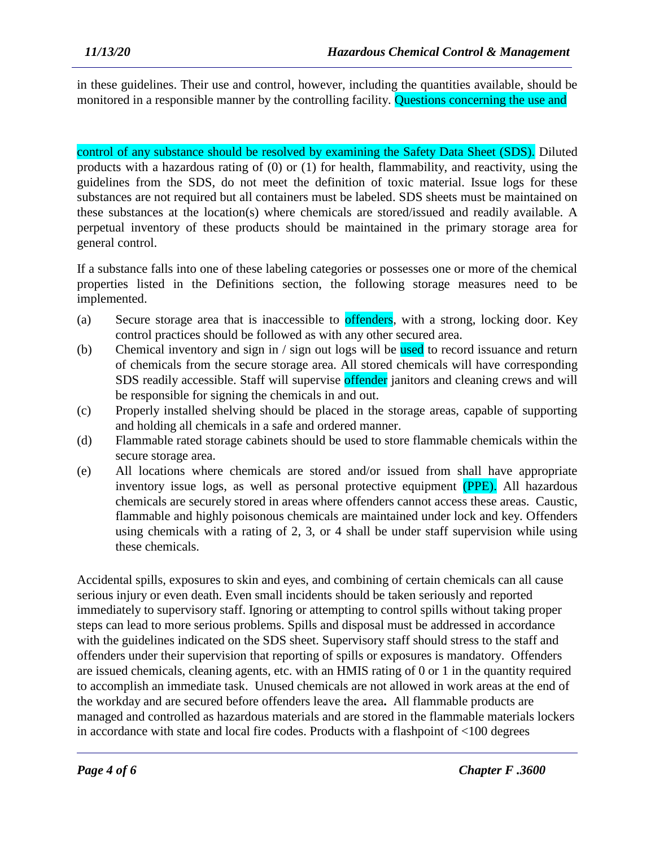in these guidelines. Their use and control, however, including the quantities available, should be monitored in a responsible manner by the controlling facility. Questions concerning the use and

control of any substance should be resolved by examining the Safety Data Sheet (SDS). Diluted products with a hazardous rating of (0) or (1) for health, flammability, and reactivity, using the guidelines from the SDS, do not meet the definition of toxic material. Issue logs for these substances are not required but all containers must be labeled. SDS sheets must be maintained on these substances at the location(s) where chemicals are stored/issued and readily available. A perpetual inventory of these products should be maintained in the primary storage area for general control.

If a substance falls into one of these labeling categories or possesses one or more of the chemical properties listed in the Definitions section, the following storage measures need to be implemented.

- (a) Secure storage area that is inaccessible to offenders, with a strong, locking door. Key control practices should be followed as with any other secured area.
- (b) Chemical inventory and sign in / sign out logs will be used to record issuance and return of chemicals from the secure storage area. All stored chemicals will have corresponding SDS readily accessible. Staff will supervise offender janitors and cleaning crews and will be responsible for signing the chemicals in and out.
- (c) Properly installed shelving should be placed in the storage areas, capable of supporting and holding all chemicals in a safe and ordered manner.
- (d) Flammable rated storage cabinets should be used to store flammable chemicals within the secure storage area.
- (e) All locations where chemicals are stored and/or issued from shall have appropriate inventory issue logs, as well as personal protective equipment (PPE). All hazardous chemicals are securely stored in areas where offenders cannot access these areas. Caustic, flammable and highly poisonous chemicals are maintained under lock and key. Offenders using chemicals with a rating of 2, 3, or 4 shall be under staff supervision while using these chemicals.

Accidental spills, exposures to skin and eyes, and combining of certain chemicals can all cause serious injury or even death. Even small incidents should be taken seriously and reported immediately to supervisory staff. Ignoring or attempting to control spills without taking proper steps can lead to more serious problems. Spills and disposal must be addressed in accordance with the guidelines indicated on the SDS sheet. Supervisory staff should stress to the staff and offenders under their supervision that reporting of spills or exposures is mandatory. Offenders are issued chemicals, cleaning agents, etc. with an HMIS rating of 0 or 1 in the quantity required to accomplish an immediate task. Unused chemicals are not allowed in work areas at the end of the workday and are secured before offenders leave the area**.** All flammable products are managed and controlled as hazardous materials and are stored in the flammable materials lockers in accordance with state and local fire codes. Products with a flashpoint of <100 degrees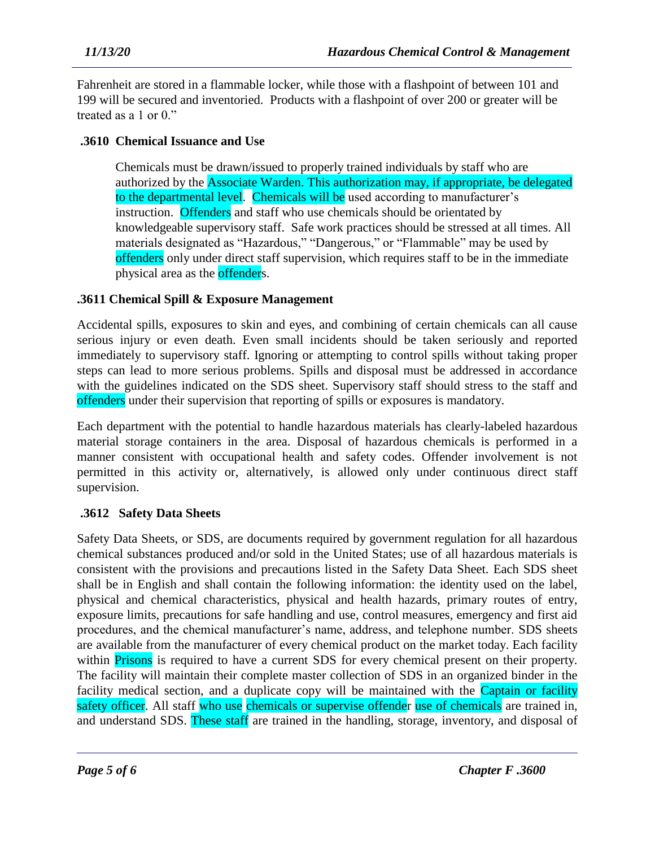Fahrenheit are stored in a flammable locker, while those with a flashpoint of between 101 and 199 will be secured and inventoried. Products with a flashpoint of over 200 or greater will be treated as a 1 or 0."

## **.3610 Chemical Issuance and Use**

Chemicals must be drawn/issued to properly trained individuals by staff who are authorized by the Associate Warden. This authorization may, if appropriate, be delegated to the departmental level. Chemicals will be used according to manufacturer's instruction. Offenders and staff who use chemicals should be orientated by knowledgeable supervisory staff. Safe work practices should be stressed at all times. All materials designated as "Hazardous," "Dangerous," or "Flammable" may be used by offenders only under direct staff supervision, which requires staff to be in the immediate physical area as the **offender**s.

### **.3611 Chemical Spill & Exposure Management**

Accidental spills, exposures to skin and eyes, and combining of certain chemicals can all cause serious injury or even death. Even small incidents should be taken seriously and reported immediately to supervisory staff. Ignoring or attempting to control spills without taking proper steps can lead to more serious problems. Spills and disposal must be addressed in accordance with the guidelines indicated on the SDS sheet. Supervisory staff should stress to the staff and offenders under their supervision that reporting of spills or exposures is mandatory.

Each department with the potential to handle hazardous materials has clearly-labeled hazardous material storage containers in the area. Disposal of hazardous chemicals is performed in a manner consistent with occupational health and safety codes. Offender involvement is not permitted in this activity or, alternatively, is allowed only under continuous direct staff supervision.

## **.3612 Safety Data Sheets**

Safety Data Sheets, or SDS, are documents required by government regulation for all hazardous chemical substances produced and/or sold in the United States; use of all hazardous materials is consistent with the provisions and precautions listed in the Safety Data Sheet. Each SDS sheet shall be in English and shall contain the following information: the identity used on the label, physical and chemical characteristics, physical and health hazards, primary routes of entry, exposure limits, precautions for safe handling and use, control measures, emergency and first aid procedures, and the chemical manufacturer's name, address, and telephone number. SDS sheets are available from the manufacturer of every chemical product on the market today. Each facility within **Prisons** is required to have a current SDS for every chemical present on their property. The facility will maintain their complete master collection of SDS in an organized binder in the facility medical section, and a duplicate copy will be maintained with the Captain or facility safety officer. All staff who use chemicals or supervise offender use of chemicals are trained in, and understand SDS. These staff are trained in the handling, storage, inventory, and disposal of